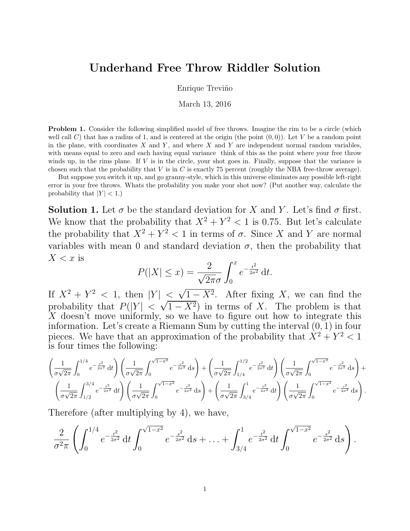## Underhand Free Throw Riddler Solution

Enrique Treviño

March 13, 2016

**Problem 1.** Consider the following simplified model of free throws. Imagine the rim to be a circle (which well call C) that has a radius of 1, and is centered at the origin (the point  $(0, 0)$ ). Let V be a random point in the plane, with coordinates  $X$  and  $Y$ , and where  $X$  and  $Y$  are independent normal random variables, with means equal to zero and each having equal variance think of this as the point where your free throw winds up, in the rims plane. If  $V$  is in the circle, your shot goes in. Finally, suppose that the variance is chosen such that the probability that  $V$  is in  $C$  is exactly 75 percent (roughly the NBA free-throw average).

But suppose you switch it up, and go granny-style, which in this universe eliminates any possible left-right error in your free throws. Whats the probability you make your shot now? (Put another way, calculate the probability that  $|Y| < 1$ .)

**Solution 1.** Let  $\sigma$  be the standard deviation for X and Y. Let's find  $\sigma$  first. We know that the probability that  $X^2 + Y^2 < 1$  is 0.75. But let's calculate the probability that  $X^2 + Y^2 < 1$  in terms of  $\sigma$ . Since X and Y are normal variables with mean 0 and standard deviation  $\sigma$ , then the probability that  $X < x$  is

$$
P(|X| \le x) = \frac{2}{\sqrt{2\pi}\sigma} \int_0^x e^{-\frac{t^2}{2\sigma^2}} dt.
$$

If  $X^2 + Y^2 < 1$ , then  $|Y| <$  $\leq \sqrt{1-X^2}$ . After fixing X, we can find the probability that  $P(|Y| < \sqrt{1-X^2})$  in terms of X. The problem is that  $\overline{X}$  doesn't move uniformly, so we have to figure out how to integrate this information. Let's create a Riemann Sum by cutting the interval  $(0, 1)$  in four pieces. We have that an approximation of the probability that  $X^2 + Y^2 < 1$ is four times the following:

$$
\left(\frac{1}{\sigma\sqrt{2\pi}}\int_{0}^{1/4}e^{-\frac{t^2}{2\sigma^2}}\,\mathrm{d}t\right)\left(\frac{1}{\sigma\sqrt{2\pi}}\int_{0}^{\sqrt{1-x^2}}e^{-\frac{s^2}{2\sigma^2}}\,\mathrm{d}s\right) + \left(\frac{1}{\sigma\sqrt{2\pi}}\int_{1/4}^{1/2}e^{-\frac{t^2}{2\sigma^2}}\,\mathrm{d}t\right)\left(\frac{1}{\sigma\sqrt{2\pi}}\int_{0}^{\sqrt{1-x^2}}e^{-\frac{s^2}{2\sigma^2}}\,\mathrm{d}s\right) + \left(\frac{1}{\sigma\sqrt{2\pi}}\int_{1/2}^{3/4}e^{-\frac{t^2}{2\sigma^2}}\,\mathrm{d}t\right)\left(\frac{1}{\sigma\sqrt{2\pi}}\int_{1/2}^{\sqrt{1-x^2}}e^{-\frac{s^2}{2\sigma^2}}\,\mathrm{d}s\right) + \left(\frac{1}{\sigma\sqrt{2\pi}}\int_{3/4}^{1}e^{-\frac{t^2}{2\sigma^2}}\,\mathrm{d}t\right)\left(\frac{1}{\sigma\sqrt{2\pi}}\int_{0}^{\sqrt{1-x^2}}e^{-\frac{s^2}{2\sigma^2}}\,\mathrm{d}s\right).
$$

Therefore (after multiplying by 4), we have,

$$
\frac{2}{\sigma^2 \pi} \left( \int_0^{1/4} e^{-\frac{t^2}{2\sigma^2}} dt \int_0^{\sqrt{1-x^2}} e^{-\frac{s^2}{2\sigma^2}} ds + \ldots + \int_{3/4}^1 e^{-\frac{t^2}{2\sigma^2}} dt \int_0^{\sqrt{1-x^2}} e^{-\frac{s^2}{2\sigma^2}} ds \right).
$$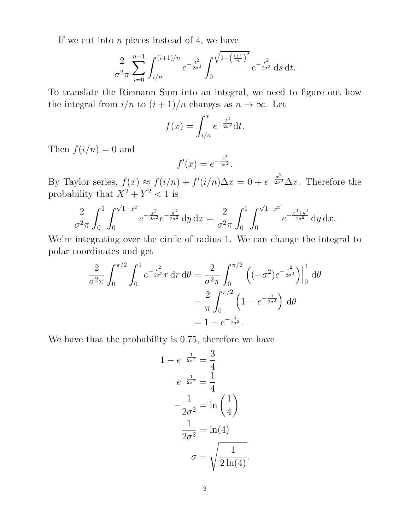If we cut into  $n$  pieces instead of 4, we have

$$
\frac{2}{\sigma^2 \pi} \sum_{i=0}^{n-1} \int_{i/n}^{(i+1)/n} e^{-\frac{t^2}{2\sigma^2}} \int_0^{\sqrt{1 - \left(\frac{i+1}{n}\right)^2}} e^{-\frac{s^2}{2\sigma^2}} ds \, dt.
$$

To translate the Riemann Sum into an integral, we need to figure out how the integral from  $i/n$  to  $(i + 1)/n$  changes as  $n \to \infty$ . Let

$$
f(x) = \int_{i/n}^{x} e^{-\frac{t^2}{2\sigma^2}} dt.
$$

Then  $f(i/n) = 0$  and

$$
f'(x) = e^{-\frac{x^2}{2\sigma^2}}.
$$

By Taylor series,  $f(x) \approx f(i/n) + f'(i/n)\Delta x = 0 + e^{-\frac{x^2}{2\sigma^2}}\Delta x$ . Therefore the probability that  $X^2 + Y^2 < 1$  is

$$
\frac{2}{\sigma^2 \pi} \int_0^1 \int_0^{\sqrt{1-x^2}} e^{-\frac{x^2}{2\sigma^2}} e^{-\frac{y^2}{2\sigma^2}} dy \, dx = \frac{2}{\sigma^2 \pi} \int_0^1 \int_0^{\sqrt{1-x^2}} e^{-\frac{x^2+y^2}{2\sigma^2}} dy \, dx.
$$

We're integrating over the circle of radius 1. We can change the integral to polar coordinates and get

$$
\frac{2}{\sigma^2 \pi} \int_0^{\pi/2} \int_0^1 e^{-\frac{r^2}{2\sigma^2}r} dr d\theta = \frac{2}{\sigma^2 \pi} \int_0^{\pi/2} \left( (-\sigma^2) e^{-\frac{r^2}{2\sigma^2}} \right) \Big|_0^1 d\theta
$$

$$
= \frac{2}{\pi} \int_0^{\pi/2} \left( 1 - e^{-\frac{1}{2\sigma^2}} \right) d\theta
$$

$$
= 1 - e^{-\frac{1}{2\sigma^2}}.
$$

We have that the probability is 0.75, therefore we have

$$
1 - e^{-\frac{1}{2\sigma^2}} = \frac{3}{4}
$$
  

$$
e^{-\frac{1}{2\sigma^2}} = \frac{1}{4}
$$
  

$$
-\frac{1}{2\sigma^2} = \ln\left(\frac{1}{4}\right)
$$
  

$$
\frac{1}{2\sigma^2} = \ln(4)
$$
  

$$
\sigma = \sqrt{\frac{1}{2\ln(4)}}.
$$